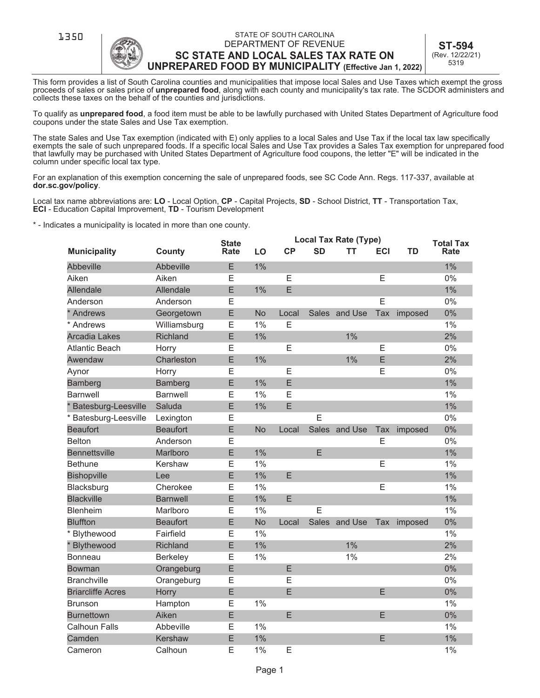

**1350 STATE OF SOUTH CAROLINA** DEPARTMENT OF REVENUE **SC STATE AND LOCAL SALES TAX RATE ON UNPREPARED FOOD BY MUNICIPALITY (Effective Jan 1, 2022)**

**ST-594**  (Rev. 12/22/21) 5319

This form provides a list of South Carolina counties and municipalities that impose local Sales and Use Taxes which exempt the gross proceeds of sales or sales price of **unprepared food**, along with each county and municipality's tax rate. The SCDOR administers and collects these taxes on the behalf of the counties and jurisdictions.

To qualify as **unprepared food**, a food item must be able to be lawfully purchased with United States Department of Agriculture food coupons under the state Sales and Use Tax exemption.

The state Sales and Use Tax exemption (indicated with E) only applies to a local Sales and Use Tax if the local tax law specifically exempts the sale of such unprepared foods. If a specific local Sales and Use Tax provides a Sales Tax exemption for unprepared food that lawfully may be purchased with United States Department of Agriculture food coupons, the letter "E" will be indicated in the column under specific local tax type.

For an explanation of this exemption concerning the sale of unprepared foods, see SC Code Ann. Regs. 117-337, available at **dor.sc.gov/policy**.

Local tax name abbreviations are: **LO** - Local Option, **CP** - Capital Projects, **SD** - School District, **TT** - Transportation Tax, **ECI** - Education Capital Improvement, **TD** - Tourism Development

\* - Indicates a municipality is located in more than one county.

|                          |                 | <b>State</b> |           | Local Tax Rate (Type) |           |               |            |             | <b>Total Tax</b> |
|--------------------------|-----------------|--------------|-----------|-----------------------|-----------|---------------|------------|-------------|------------------|
| <b>Municipality</b>      | County          | Rate         | LO        | CP                    | <b>SD</b> | TT            | <b>ECI</b> | <b>TD</b>   | Rate             |
| <b>Abbeville</b>         | Abbeville       | E            | 1%        |                       |           |               |            |             | 1%               |
| Aiken                    | Aiken           | E            |           | E                     |           |               | E          |             | 0%               |
| <b>Allendale</b>         | Allendale       | E            | 1%        | E                     |           |               |            |             | 1%               |
| Anderson                 | Anderson        | Е            |           |                       |           |               | E          |             | 0%               |
| * Andrews                | Georgetown      | E            | <b>No</b> | Local                 |           | Sales and Use | Tax        | imposed     | 0%               |
| * Andrews                | Williamsburg    | E            | 1%        | E                     |           |               |            |             | 1%               |
| Arcadia Lakes            | <b>Richland</b> | E            | 1%        |                       |           | 1%            |            |             | 2%               |
| <b>Atlantic Beach</b>    | Horry           | Ε            |           | E                     |           |               | E          |             | 0%               |
| Awendaw                  | Charleston      | E            | 1%        |                       |           | 1%            | E          |             | 2%               |
| Aynor                    | Horry           | E            |           | E                     |           |               | E          |             | 0%               |
| Bamberg                  | Bamberg         | E            | 1%        | E                     |           |               |            |             | 1%               |
| <b>Barnwell</b>          | <b>Barnwell</b> | E            | 1%        | E                     |           |               |            |             | $1\%$            |
| * Batesburg-Leesville    | Saluda          | E            | 1%        | E                     |           |               |            |             | 1%               |
| * Batesburg-Leesville    | Lexington       | Ε            |           |                       | E         |               |            |             | 0%               |
| <b>Beaufort</b>          | <b>Beaufort</b> | E            | <b>No</b> | Local                 |           | Sales and Use | Tax        | imposed     | 0%               |
| <b>Belton</b>            | Anderson        | E            |           |                       |           |               | E          |             | 0%               |
| <b>Bennettsville</b>     | Marlboro        | E            | 1%        |                       | E         |               |            |             | $1\%$            |
| <b>Bethune</b>           | Kershaw         | E            | 1%        |                       |           |               | E          |             | 1%               |
| <b>Bishopville</b>       | Lee             | E            | 1%        | E                     |           |               |            |             | $1\%$            |
| Blacksburg               | Cherokee        | E            | 1%        |                       |           |               | E          |             | $1\%$            |
| <b>Blackville</b>        | <b>Barnwell</b> | E            | 1%        | E                     |           |               |            |             | 1%               |
| <b>Blenheim</b>          | Marlboro        | E            | 1%        |                       | E         |               |            |             | 1%               |
| <b>Bluffton</b>          | <b>Beaufort</b> | E            | <b>No</b> | Local                 |           | Sales and Use |            | Tax imposed | 0%               |
| * Blythewood             | Fairfield       | E            | 1%        |                       |           |               |            |             | 1%               |
| * Blythewood             | Richland        | E            | 1%        |                       |           | 1%            |            |             | 2%               |
| Bonneau                  | Berkeley        | E            | 1%        |                       |           | 1%            |            |             | 2%               |
| Bowman                   | Orangeburg      | E            |           | E                     |           |               |            |             | 0%               |
| <b>Branchville</b>       | Orangeburg      | Ε            |           | E                     |           |               |            |             | 0%               |
| <b>Briarcliffe Acres</b> | Horry           | E            |           | E                     |           |               | E          |             | 0%               |
| <b>Brunson</b>           | Hampton         | Ε            | 1%        |                       |           |               |            |             | 1%               |
| <b>Burnettown</b>        | Aiken           | E            |           | E                     |           |               | E          |             | 0%               |
| <b>Calhoun Falls</b>     | Abbeville       | Ε            | 1%        |                       |           |               |            |             | 1%               |
| Camden                   | Kershaw         | E            | 1%        |                       |           |               | E          |             | 1%               |
| Cameron                  | Calhoun         | E            | 1%        | E                     |           |               |            |             | 1%               |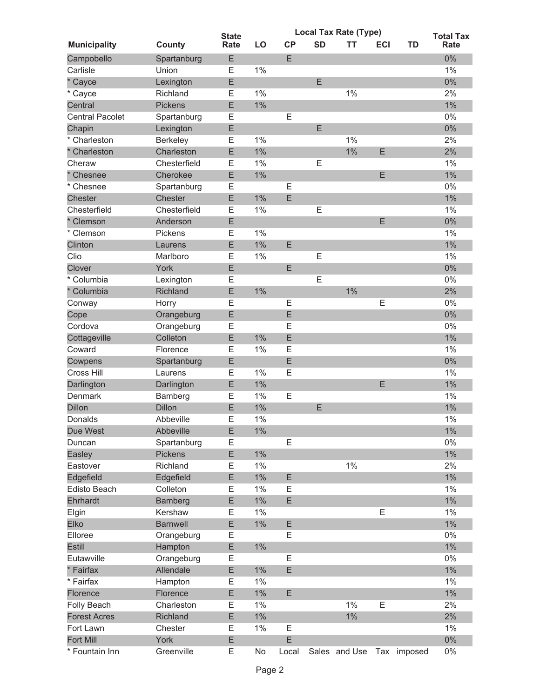|                        |                 | <b>State</b> |       | <b>Local Tax Rate (Type)</b> |           |               |            |             |                                 |  |
|------------------------|-----------------|--------------|-------|------------------------------|-----------|---------------|------------|-------------|---------------------------------|--|
| <b>Municipality</b>    | County          | Rate         | LO    | CP                           | <b>SD</b> | тт            | <b>ECI</b> | TD          | <b>Total Tax</b><br><b>Rate</b> |  |
| Campobello             | Spartanburg     | E            |       | E                            |           |               |            |             | 0%                              |  |
| Carlisle               | Union           | Е            | 1%    |                              |           |               |            |             | $1\%$                           |  |
| * Cayce                | Lexington       | E            |       |                              | E         |               |            |             | $0\%$                           |  |
| * Cayce                | Richland        | Ε            | 1%    |                              |           | 1%            |            |             | 2%                              |  |
| Central                | <b>Pickens</b>  | E            | 1%    |                              |           |               |            |             | 1%                              |  |
| <b>Central Pacolet</b> | Spartanburg     | E            |       | E                            |           |               |            |             | $0\%$                           |  |
| Chapin                 | Lexington       | E            |       |                              | E         |               |            |             | 0%                              |  |
| * Charleston           | Berkeley        | Ε            | 1%    |                              |           | 1%            |            |             | 2%                              |  |
| * Charleston           | Charleston      | E            | 1%    |                              |           | $1\%$         | E          |             | 2%                              |  |
| Cheraw                 | Chesterfield    | E            | 1%    |                              | Ε         |               |            |             | 1%                              |  |
| Chesnee                | Cherokee        | E            | 1%    |                              |           |               | E          |             | $1\%$                           |  |
| * Chesnee              | Spartanburg     | Ε            |       | Ε                            |           |               |            |             | 0%                              |  |
| <b>Chester</b>         | Chester         | E            | $1\%$ | E                            |           |               |            |             | $1\%$                           |  |
| Chesterfield           | Chesterfield    | Ε            | 1%    |                              | E         |               |            |             | $1\%$                           |  |
| Clemson                | Anderson        | E            |       |                              |           |               | E          |             | $0\%$                           |  |
| * Clemson              | Pickens         | E            | 1%    |                              |           |               |            |             | $1\%$                           |  |
| Clinton                | Laurens         | E            | 1%    | E                            |           |               |            |             | $1\%$                           |  |
| Clio                   | Marlboro        | Е            | 1%    |                              | Е         |               |            |             | $1\%$                           |  |
| Clover                 | York            | E            |       | E                            |           |               |            |             | 0%                              |  |
| * Columbia             | Lexington       | Ε            |       |                              | E         |               |            |             | 0%                              |  |
| * Columbia             | Richland        | E            | 1%    |                              |           | 1%            |            |             | 2%                              |  |
| Conway                 | Horry           | E            |       | Ε                            |           |               | E          |             | 0%                              |  |
| Cope                   | Orangeburg      | E            |       | E                            |           |               |            |             | 0%                              |  |
| Cordova                | Orangeburg      | E            |       | E                            |           |               |            |             | 0%                              |  |
| Cottageville           | Colleton        | E            | 1%    | E                            |           |               |            |             | $1\%$                           |  |
| Coward                 | Florence        | E            | 1%    | E                            |           |               |            |             | 1%                              |  |
| Cowpens                | Spartanburg     | E            |       | E                            |           |               |            |             | $0\%$                           |  |
| Cross Hill             | Laurens         | Е            | 1%    | E                            |           |               |            |             | $1\%$                           |  |
| Darlington             | Darlington      | E            | 1%    |                              |           |               | E          |             | 1%                              |  |
| Denmark                | Bamberg         | Ε            | 1%    | E                            |           |               |            |             | $1\%$                           |  |
| <b>Dillon</b>          | <b>Dillon</b>   | E            | 1%    |                              | E         |               |            |             | 1%                              |  |
| Donalds                | Abbeville       | Е            | 1%    |                              |           |               |            |             | 1%                              |  |
| Due West               | Abbeville       | E            | $1\%$ |                              |           |               |            |             | $1\%$                           |  |
| Duncan                 | Spartanburg     | Ε            |       | E                            |           |               |            |             | 0%                              |  |
| Easley                 | Pickens         | E            | 1%    |                              |           |               |            |             | $1\%$                           |  |
| Eastover               | Richland        | E            | $1\%$ |                              |           | $1\%$         |            |             | 2%                              |  |
| Edgefield              | Edgefield       | E            | $1\%$ | E                            |           |               |            |             | $1\%$                           |  |
| Edisto Beach           | Colleton        | Ε            | 1%    | E                            |           |               |            |             | $1\%$                           |  |
| Ehrhardt               | <b>Bamberg</b>  | E            | $1\%$ | E                            |           |               |            |             | $1\%$                           |  |
| Elgin                  | Kershaw         | E            | 1%    |                              |           |               | E          |             | $1\%$                           |  |
| Elko                   | <b>Barnwell</b> | E            | $1\%$ | E                            |           |               |            |             | $1\%$                           |  |
| Elloree                | Orangeburg      | Ε            |       | E                            |           |               |            |             | 0%                              |  |
| <b>Estill</b>          | Hampton         | Ε            | $1\%$ |                              |           |               |            |             | $1\%$                           |  |
| Eutawville             | Orangeburg      | Ε            |       | Е                            |           |               |            |             | $0\%$                           |  |
| * Fairfax              | Allendale       | E            | $1\%$ | E                            |           |               |            |             | $1\%$                           |  |
| * Fairfax              | Hampton         | Е            | $1\%$ |                              |           |               |            |             | $1\%$                           |  |
| Florence               | Florence        | E            | $1\%$ | E                            |           |               |            |             | $1\%$                           |  |
| Folly Beach            | Charleston      | Ε            | 1%    |                              |           | $1\%$         | E          |             | 2%                              |  |
| <b>Forest Acres</b>    | Richland        | E            | $1\%$ |                              |           | $1\%$         |            |             | 2%                              |  |
| Fort Lawn              | Chester         | Ε            | 1%    | E                            |           |               |            |             | $1\%$                           |  |
| <b>Fort Mill</b>       | York            | E            |       | E                            |           |               |            |             | $0\%$                           |  |
| * Fountain Inn         | Greenville      | Е            | No    | Local                        |           | Sales and Use |            | Tax imposed | $0\%$                           |  |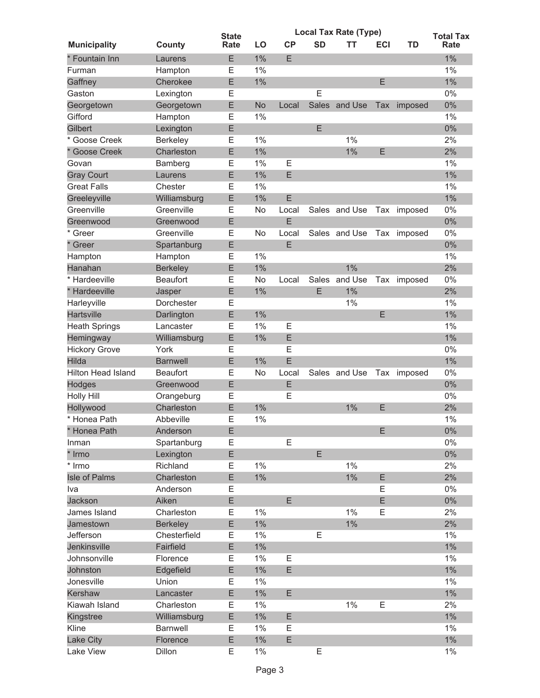|                           |                 | <b>State</b> |       | <b>Local Tax Rate (Type)</b> | <b>Total Tax</b> |               |            |             |       |
|---------------------------|-----------------|--------------|-------|------------------------------|------------------|---------------|------------|-------------|-------|
| <b>Municipality</b>       | County          | Rate         | LO    | CP                           | <b>SD</b>        | TT            | <b>ECI</b> | TD          | Rate  |
| * Fountain Inn            | Laurens         | Ε            | 1%    | E                            |                  |               |            |             | 1%    |
| Furman                    | Hampton         | Ε            | 1%    |                              |                  |               |            |             | $1\%$ |
| Gaffney                   | Cherokee        | E            | 1%    |                              |                  |               | E          |             | $1\%$ |
| Gaston                    | Lexington       | Е            |       |                              | E                |               |            |             | 0%    |
| Georgetown                | Georgetown      | E            | No    | Local                        | Sales            | and Use       | Tax        | imposed     | $0\%$ |
| Gifford                   | Hampton         | Е            | 1%    |                              |                  |               |            |             | $1\%$ |
| Gilbert                   | Lexington       | E            |       |                              | E                |               |            |             | $0\%$ |
| * Goose Creek             | Berkeley        | Ε            | 1%    |                              |                  | $1\%$         |            |             | 2%    |
| * Goose Creek             | Charleston      | E            | 1%    |                              |                  | 1%            | E          |             | 2%    |
| Govan                     | Bamberg         | Е            | 1%    | Ε                            |                  |               |            |             | $1\%$ |
| <b>Gray Court</b>         | Laurens         | E            | 1%    | E                            |                  |               |            |             | 1%    |
| <b>Great Falls</b>        | Chester         | Ε            | 1%    |                              |                  |               |            |             | $1\%$ |
| Greeleyville              | Williamsburg    | E            | 1%    | E                            |                  |               |            |             | $1\%$ |
| Greenville                | Greenville      | Е            | No    | Local                        |                  | Sales and Use | Tax        | imposed     | $0\%$ |
| Greenwood                 | Greenwood       | E            |       | E                            |                  |               |            |             | 0%    |
| * Greer                   | Greenville      | Е            | No    | Local                        |                  | Sales and Use | Tax        | imposed     | 0%    |
| $\star$<br>Greer          | Spartanburg     | E            |       | E.                           |                  |               |            |             | $0\%$ |
| Hampton                   | Hampton         | Ε            | 1%    |                              |                  |               |            |             | $1\%$ |
| Hanahan                   | <b>Berkeley</b> | E            | 1%    |                              |                  | 1%            |            |             | 2%    |
| * Hardeeville             | <b>Beaufort</b> | Е            | No    | Local                        | <b>Sales</b>     | and Use       | Tax        | imposed     | $0\%$ |
| * Hardeeville             | Jasper          | E            | 1%    |                              | E                | 1%            |            |             | 2%    |
| Harleyville               | Dorchester      | E            |       |                              |                  | 1%            |            |             | 1%    |
| Hartsville                | Darlington      | E            | 1%    |                              |                  |               | E          |             | $1\%$ |
| <b>Heath Springs</b>      | Lancaster       | E            | 1%    | E                            |                  |               |            |             | $1\%$ |
| Hemingway                 | Williamsburg    | E            | 1%    | E                            |                  |               |            |             | $1\%$ |
| <b>Hickory Grove</b>      | York            | Ε            |       | E                            |                  |               |            |             | 0%    |
| Hilda                     | <b>Barnwell</b> | E            | 1%    | E                            |                  |               |            |             | $1\%$ |
| <b>Hilton Head Island</b> | <b>Beaufort</b> | Е            | No    | Local                        |                  | Sales and Use |            | Tax imposed | 0%    |
| Hodges                    | Greenwood       | E            |       | E                            |                  |               |            |             | 0%    |
| <b>Holly Hill</b>         | Orangeburg      | Ε            |       | Ε                            |                  |               |            |             | 0%    |
| Hollywood                 | Charleston      | E            | 1%    |                              |                  | 1%            | E          |             | 2%    |
| * Honea Path              | Abbeville       | Е            | 1%    |                              |                  |               |            |             | 1%    |
| * Honea Path              | Anderson        | E            |       |                              |                  |               | E          |             | $0\%$ |
| Inman                     | Spartanburg     | E            |       | E                            |                  |               |            |             | $0\%$ |
| * Irmo                    | Lexington       | E            |       |                              | E                |               |            |             | $0\%$ |
| * Irmo                    | Richland        | E            | $1\%$ |                              |                  | $1\%$         |            |             | 2%    |
| Isle of Palms             | Charleston      | E            | $1\%$ |                              |                  | $1\%$         | E          |             | 2%    |
| Iva                       | Anderson        | Ε            |       |                              |                  |               | E          |             | 0%    |
| Jackson                   | Aiken           | E            |       | E                            |                  |               | E          |             | $0\%$ |
| James Island              | Charleston      | Ε            | 1%    |                              |                  | $1\%$         | Ε          |             | 2%    |
| Jamestown                 | <b>Berkeley</b> | E            | 1%    |                              |                  | $1\%$         |            |             | 2%    |
| Jefferson                 | Chesterfield    | Ε            | 1%    |                              | E                |               |            |             | $1\%$ |
| Jenkinsville              | Fairfield       | Ε            | $1\%$ |                              |                  |               |            |             | $1\%$ |
| Johnsonville              | Florence        | Ε            | $1\%$ | Ε                            |                  |               |            |             | $1\%$ |
| Johnston                  | Edgefield       | E            | $1\%$ | E                            |                  |               |            |             | $1\%$ |
| Jonesville                | Union           | E            | 1%    |                              |                  |               |            |             | $1\%$ |
| Kershaw                   | Lancaster       | E            | $1\%$ | E                            |                  |               |            |             | $1\%$ |
| Kiawah Island             | Charleston      | Е            | $1\%$ |                              |                  | $1\%$         | Е          |             | 2%    |
| Kingstree                 | Williamsburg    | E            | $1\%$ | E                            |                  |               |            |             | $1\%$ |
| Kline                     | Barnwell        | Ε            | 1%    | Е                            |                  |               |            |             | $1\%$ |
| Lake City                 | Florence        | E            | $1\%$ | E                            |                  |               |            |             | $1\%$ |
| Lake View                 | Dillon          | E            | $1\%$ |                              | E                |               |            |             | $1\%$ |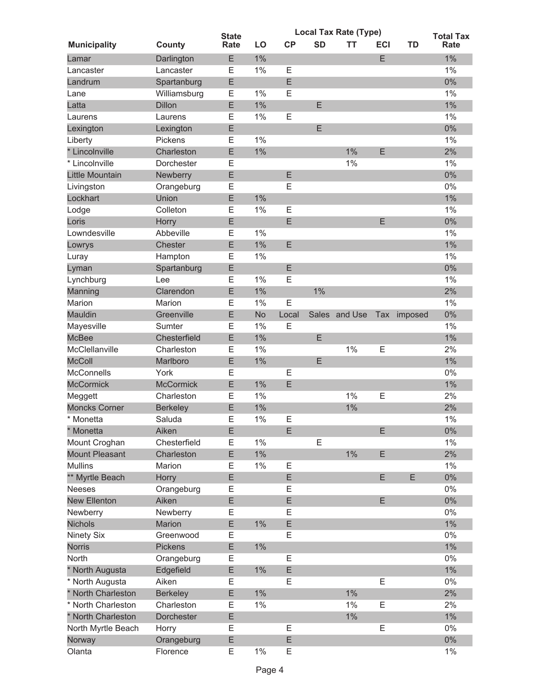|                       |                  | <b>State</b> |           | <b>Local Tax Rate (Type)</b> |           |               |            |         | <b>Total Tax</b> |
|-----------------------|------------------|--------------|-----------|------------------------------|-----------|---------------|------------|---------|------------------|
| <b>Municipality</b>   | <b>County</b>    | Rate         | LO        | CP                           | <b>SD</b> | TT            | <b>ECI</b> | TD      | Rate             |
| Lamar                 | Darlington       | Ε            | 1%        |                              |           |               | E          |         | 1%               |
| Lancaster             | Lancaster        | Е            | 1%        | E                            |           |               |            |         | $1\%$            |
| Landrum               | Spartanburg      | E            |           | E                            |           |               |            |         | $0\%$            |
| Lane                  | Williamsburg     | Ε            | 1%        | E                            |           |               |            |         | $1\%$            |
| Latta                 | <b>Dillon</b>    | E            | 1%        |                              | Ε         |               |            |         | $1\%$            |
| Laurens               | Laurens          | Е            | 1%        | E                            |           |               |            |         | $1\%$            |
| Lexington             | Lexington        | E            |           |                              | E         |               |            |         | $0\%$            |
| Liberty               | Pickens          | Е            | 1%        |                              |           |               |            |         | $1\%$            |
| * Lincolnville        | Charleston       | E            | 1%        |                              |           | 1%            | E          |         | 2%               |
| * Lincolnville        | Dorchester       | Е            |           |                              |           | 1%            |            |         | 1%               |
| Little Mountain       | Newberry         | E            |           | E                            |           |               |            |         | 0%               |
| Livingston            | Orangeburg       | Ε            |           | E                            |           |               |            |         | 0%               |
| Lockhart              | Union            | E            | 1%        |                              |           |               |            |         | $1\%$            |
| Lodge                 | Colleton         | E            | 1%        | E                            |           |               |            |         | $1\%$            |
| Loris                 | Horry            | E            |           | E                            |           |               | E          |         | 0%               |
| Lowndesville          | Abbeville        | Е            | 1%        |                              |           |               |            |         | $1\%$            |
| Lowrys                | Chester          | E            | 1%        | E                            |           |               |            |         | $1\%$            |
| Luray                 | Hampton          | Е            | 1%        |                              |           |               |            |         | $1\%$            |
| Lyman                 | Spartanburg      | E            |           | E                            |           |               |            |         | 0%               |
|                       | Lee              | Е            | 1%        | E                            |           |               |            |         | 1%               |
| Lynchburg<br>Manning  | Clarendon        | E            | 1%        |                              | 1%        |               |            |         | 2%               |
|                       |                  |              | 1%        | E                            |           |               |            |         | 1%               |
| Marion                | Marion           | Ε            |           |                              |           |               |            |         |                  |
| <b>Mauldin</b>        | Greenville       | E            | <b>No</b> | Local                        |           | Sales and Use | Tax        | imposed | 0%<br>1%         |
| Mayesville            | Sumter           | E            | 1%        | E                            |           |               |            |         |                  |
| <b>McBee</b>          | Chesterfield     | E            | 1%        |                              | E         |               |            |         | $1\%$            |
| McClellanville        | Charleston       | Ε            | 1%        |                              |           | 1%            | E          |         | 2%               |
| <b>McColl</b>         | Marlboro         | E            | 1%        |                              | E         |               |            |         | $1\%$            |
| <b>McConnells</b>     | York             | Е            |           | E                            |           |               |            |         | 0%               |
| <b>McCormick</b>      | <b>McCormick</b> | E            | 1%        | E                            |           |               |            |         | $1\%$            |
| Meggett               | Charleston       | Ε            | 1%        |                              |           | 1%            | E          |         | 2%               |
| <b>Moncks Corner</b>  | <b>Berkeley</b>  | E            | 1%        |                              |           | 1%            |            |         | 2%               |
| * Monetta             | Saluda           | Е            | 1%        | E                            |           |               |            |         | 1%               |
| * Monetta             | Aiken            | E            |           | E                            |           |               | E          |         | $0\%$            |
| Mount Croghan         | Chesterfield     | Е            | 1%        |                              | E         |               |            |         | 1%               |
| <b>Mount Pleasant</b> | Charleston       | E            | $1\%$     |                              |           | $1\%$         | E          |         | 2%               |
| <b>Mullins</b>        | Marion           | Ε            | 1%        | E                            |           |               |            |         | $1\%$            |
| ** Myrtle Beach       | Horry            | E            |           | E                            |           |               | E          | E       | $0\%$            |
| <b>Neeses</b>         | Orangeburg       | Ε            |           | Ε                            |           |               |            |         | $0\%$            |
| <b>New Ellenton</b>   | Aiken            | E            |           | E                            |           |               | E          |         | $0\%$            |
| Newberry              | Newberry         | Ε            |           | Е                            |           |               |            |         | 0%               |
| <b>Nichols</b>        | <b>Marion</b>    | E            | 1%        | E                            |           |               |            |         | $1\%$            |
| Ninety Six            | Greenwood        | Ε            |           | E                            |           |               |            |         | 0%               |
| <b>Norris</b>         | Pickens          | Ε            | $1\%$     |                              |           |               |            |         | $1\%$            |
| North                 | Orangeburg       | Ε            |           | Ε                            |           |               |            |         | 0%               |
| * North Augusta       | Edgefield        | E            | $1\%$     | E                            |           |               |            |         | $1\%$            |
| * North Augusta       | Aiken            | E            |           | E                            |           |               | E          |         | 0%               |
| * North Charleston    | <b>Berkeley</b>  | E            | $1\%$     |                              |           | $1\%$         |            |         | 2%               |
| * North Charleston    | Charleston       | Ε            | 1%        |                              |           | $1\%$         | E          |         | 2%               |
| * North Charleston    | Dorchester       | E            |           |                              |           | $1\%$         |            |         | $1\%$            |
| North Myrtle Beach    | Horry            | E            |           | Ε                            |           |               | E          |         | 0%               |
| Norway                | Orangeburg       | Ε            |           | E                            |           |               |            |         | $0\%$            |
| Olanta                | Florence         | E            | $1\%$     | E                            |           |               |            |         | $1\%$            |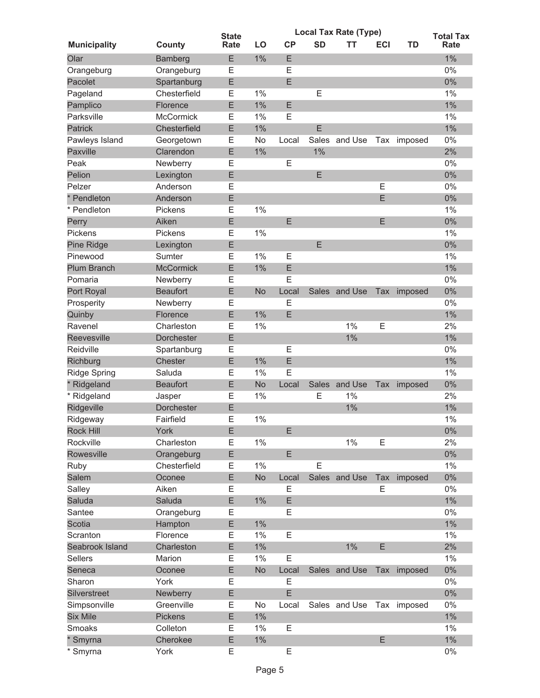|                     |                        | <b>State</b> |           | <b>Local Tax Rate (Type)</b> | <b>Total Tax</b> |                           |            |             |             |
|---------------------|------------------------|--------------|-----------|------------------------------|------------------|---------------------------|------------|-------------|-------------|
| <b>Municipality</b> | County                 | Rate         | LO        | CP                           | <b>SD</b>        | ΤТ                        | <b>ECI</b> | TD          | <b>Rate</b> |
| Olar                | Bamberg                | E            | 1%        | E                            |                  |                           |            |             | 1%          |
| Orangeburg          | Orangeburg             | Ε            |           | E                            |                  |                           |            |             | 0%          |
| Pacolet             | Spartanburg            | Ε            |           | E                            |                  |                           |            |             | $0\%$       |
| Pageland            | Chesterfield           | Ε            | 1%        |                              | E                |                           |            |             | 1%          |
| Pamplico            | Florence               | E            | 1%        | E                            |                  |                           |            |             | $1\%$       |
| Parksville          | <b>McCormick</b>       | Е            | 1%        | E                            |                  |                           |            |             | $1\%$       |
| <b>Patrick</b>      | Chesterfield           | E            | 1%        |                              | E                |                           |            |             | $1\%$       |
| Pawleys Island      | Georgetown             | Ε            | No        | Local                        |                  | Sales and Use             |            | Tax imposed | 0%          |
| <b>Paxville</b>     | Clarendon              | E            | 1%        |                              | 1%               |                           |            |             | 2%          |
| Peak                | Newberry               | Ε            |           | Ε                            |                  |                           |            |             | 0%          |
| Pelion              | Lexington              | E            |           |                              | E                |                           |            |             | 0%          |
| Pelzer              | Anderson               | Ε            |           |                              |                  |                           | E          |             | 0%          |
| * Pendleton         | Anderson               | E            |           |                              |                  |                           | E          |             | $0\%$       |
| * Pendleton         | Pickens                | E            | 1%        |                              |                  |                           |            |             | 1%          |
| Perry               | Aiken                  | E            |           | E                            |                  |                           | E          |             | 0%          |
| Pickens             | Pickens                | Е            | 1%        |                              |                  |                           |            |             | 1%          |
| <b>Pine Ridge</b>   | Lexington              | E            |           |                              | E                |                           |            |             | $0\%$       |
| Pinewood            | Sumter                 | E            | 1%        | E                            |                  |                           |            |             | $1\%$       |
| <b>Plum Branch</b>  | <b>McCormick</b>       | E            | 1%        | E                            |                  |                           |            |             | $1\%$       |
| Pomaria             | Newberry               | Ε            |           | Ε                            |                  |                           |            |             | 0%          |
| Port Royal          | <b>Beaufort</b>        | E            | <b>No</b> | Local                        | Sales            | and Use                   | Tax        | imposed     | 0%          |
| Prosperity          | Newberry               | Ε            |           | Ε                            |                  |                           |            |             | 0%          |
| Quinby              | Florence               | E            | 1%        | E                            |                  |                           |            |             | $1\%$       |
| Ravenel             | Charleston             | E            | 1%        |                              |                  | 1%                        | E          |             | 2%          |
| Reevesville         | Dorchester             | E            |           |                              |                  | 1%                        |            |             | $1\%$       |
| Reidville           |                        | Ε            |           | E                            |                  |                           |            |             | 0%          |
| Richburg            | Spartanburg<br>Chester | E            | 1%        | E                            |                  |                           |            |             | $1\%$       |
|                     |                        |              |           | E                            |                  |                           |            |             |             |
| <b>Ridge Spring</b> | Saluda                 | Ε            | 1%        |                              |                  |                           |            |             | $1\%$       |
| * Ridgeland         | <b>Beaufort</b>        | E            | <b>No</b> | Local                        | Sales            | and Use                   | Tax        | imposed     | 0%          |
| * Ridgeland         | Jasper                 | Е            | 1%        |                              | Ε                | 1%                        |            |             | 2%          |
| Ridgeville          | Dorchester             | E            |           |                              |                  | 1%                        |            |             | 1%          |
| Ridgeway            | Fairfield              | E            | 1%        |                              |                  |                           |            |             | 1%          |
| <b>Rock Hill</b>    | York                   | E            |           | E                            |                  |                           |            |             | $0\%$       |
| Rockville           | Charleston             | Е            | 1%        |                              |                  | $1\%$                     | E          |             | 2%          |
| Rowesville          | Orangeburg             | E            |           | E                            |                  |                           |            |             | $0\%$       |
| Ruby                | Chesterfield           | Ε            | 1%        |                              | E                |                           |            |             | $1\%$       |
| <b>Salem</b>        | Oconee                 | E            | <b>No</b> | Local                        |                  | Sales and Use             | Tax        | imposed     | $0\%$       |
| Salley              | Aiken                  | Е            |           | Ε                            |                  |                           | Ε          |             | 0%          |
| Saluda              | Saluda                 | E            | $1\%$     | E                            |                  |                           |            |             | $1\%$       |
| Santee              | Orangeburg             | Ε            |           | Е                            |                  |                           |            |             | 0%          |
| Scotia              | Hampton                | E            | 1%        |                              |                  |                           |            |             | $1\%$       |
| Scranton            | Florence               | E            | $1\%$     | E                            |                  |                           |            |             | $1\%$       |
| Seabrook Island     | Charleston             | E            | 1%        |                              |                  | $1\%$                     | E          |             | 2%          |
| <b>Sellers</b>      | Marion                 | Е            | $1\%$     | E                            |                  |                           |            |             | $1\%$       |
| Seneca              | Oconee                 | E            | No        | Local                        |                  | Sales and Use             |            | Tax imposed | $0\%$       |
| Sharon              | York                   | E            |           | Ε                            |                  |                           |            |             | $0\%$       |
| Silverstreet        | Newberry               | E            |           | E                            |                  |                           |            |             | $0\%$       |
| Simpsonville        | Greenville             | Ε            | No        | Local                        |                  | Sales and Use Tax imposed |            |             | $0\%$       |
| <b>Six Mile</b>     | <b>Pickens</b>         | E            | $1\%$     |                              |                  |                           |            |             | $1\%$       |
| Smoaks              | Colleton               | Ε            | 1%        | E                            |                  |                           |            |             | $1\%$       |
| Smyrna              | Cherokee               | E            | $1\%$     |                              |                  |                           | E          |             | $1\%$       |
| Smyrna              | York                   | E            |           | E                            |                  |                           |            |             | $0\%$       |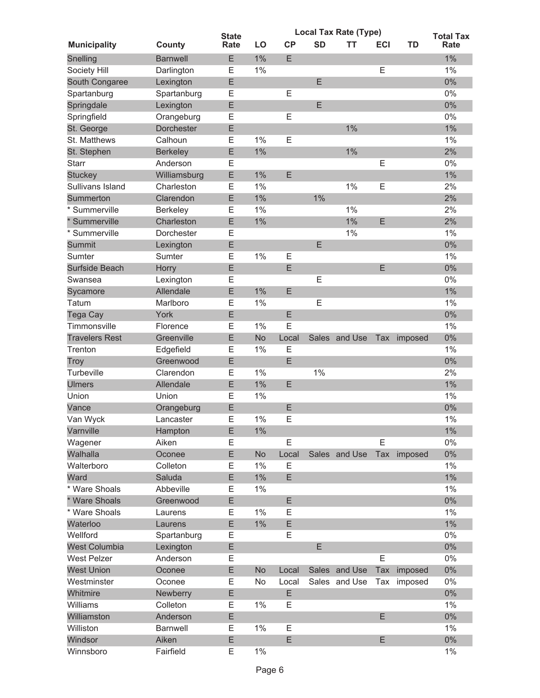|                       |                 | <b>State</b> |           | <b>Local Tax Rate (Type)</b> | <b>Total Tax</b> |               |            |         |       |
|-----------------------|-----------------|--------------|-----------|------------------------------|------------------|---------------|------------|---------|-------|
| <b>Municipality</b>   | County          | Rate         | LO        | CP                           | <b>SD</b>        | тт            | <b>ECI</b> | TD      | Rate  |
| Snelling              | <b>Barnwell</b> | E            | 1%        | E                            |                  |               |            |         | 1%    |
| Society Hill          | Darlington      | Е            | 1%        |                              |                  |               | E          |         | $1\%$ |
| South Congaree        | Lexington       | Ε            |           |                              | E                |               |            |         | $0\%$ |
| Spartanburg           | Spartanburg     | Е            |           | E                            |                  |               |            |         | 0%    |
| Springdale            | Lexington       | E            |           |                              | E                |               |            |         | $0\%$ |
| Springfield           | Orangeburg      | E            |           | E                            |                  |               |            |         | 0%    |
| St. George            | Dorchester      | E            |           |                              |                  | $1\%$         |            |         | $1\%$ |
| St. Matthews          | Calhoun         | Ε            | 1%        | E                            |                  |               |            |         | $1\%$ |
| St. Stephen           | <b>Berkeley</b> | E            | 1%        |                              |                  | $1\%$         |            |         | 2%    |
| <b>Starr</b>          | Anderson        | Е            |           |                              |                  |               | E          |         | 0%    |
| <b>Stuckey</b>        | Williamsburg    | E            | 1%        | E                            |                  |               |            |         | $1\%$ |
| Sullivans Island      | Charleston      | Ε            | 1%        |                              |                  | 1%            | E          |         | 2%    |
| Summerton             | Clarendon       | Ε            | 1%        |                              | 1%               |               |            |         | 2%    |
| * Summerville         | Berkeley        | Ε            | 1%        |                              |                  | 1%            |            |         | 2%    |
| * Summerville         | Charleston      | E            | $1\%$     |                              |                  | $1\%$         | E          |         | 2%    |
| * Summerville         | Dorchester      | E            |           |                              |                  | 1%            |            |         | $1\%$ |
| Summit                | Lexington       | E            |           |                              | E                |               |            |         | $0\%$ |
| Sumter                | Sumter          | Ε            | 1%        | Ε                            |                  |               |            |         | $1\%$ |
| Surfside Beach        | Horry           | E            |           | E                            |                  |               | E          |         | $0\%$ |
| Swansea               | Lexington       | Ε            |           |                              | E                |               |            |         | 0%    |
| Sycamore              | Allendale       | E            | 1%        | E                            |                  |               |            |         | $1\%$ |
| Tatum                 | Marlboro        | Е            | 1%        |                              | Е                |               |            |         | $1\%$ |
| Tega Cay              | York            | E            |           | E                            |                  |               |            |         | 0%    |
| Timmonsville          | Florence        | Е            | 1%        | E                            |                  |               |            |         | $1\%$ |
| <b>Travelers Rest</b> | Greenville      | E            | No        | Local                        | Sales            | and Use       | Tax        | imposed | $0\%$ |
| Trenton               | Edgefield       | E            | 1%        | E                            |                  |               |            |         | $1\%$ |
| Troy                  | Greenwood       | E            |           | E                            |                  |               |            |         | $0\%$ |
| Turbeville            | Clarendon       | Ε            | 1%        |                              | 1%               |               |            |         | 2%    |
| <b>Ulmers</b>         | Allendale       | E            | 1%        | E                            |                  |               |            |         | $1\%$ |
| Union                 | Union           | Е            | 1%        |                              |                  |               |            |         | 1%    |
| Vance                 | Orangeburg      | E            |           | E                            |                  |               |            |         | 0%    |
| Van Wyck              | Lancaster       | E            | 1%        | E                            |                  |               |            |         | 1%    |
| Varnville             | Hampton         | Ε            | 1%        |                              |                  |               |            |         | $1\%$ |
| Wagener               | Aiken           | Е            |           | Ε                            |                  |               | E          |         | 0%    |
| Walhalla              | Oconee          | E            | <b>No</b> | Local                        |                  | Sales and Use | Tax        | imposed | $0\%$ |
| Walterboro            | Colleton        | Ε            | 1%        | E                            |                  |               |            |         | $1\%$ |
| Ward                  | Saluda          | E            | $1\%$     | E                            |                  |               |            |         | $1\%$ |
| * Ware Shoals         | Abbeville       | Ε            | 1%        |                              |                  |               |            |         | $1\%$ |
| * Ware Shoals         | Greenwood       | E            |           | E                            |                  |               |            |         | $0\%$ |
| * Ware Shoals         | Laurens         | Ε            | 1%        | Ε                            |                  |               |            |         | $1\%$ |
| Waterloo              | Laurens         | E            | 1%        | E                            |                  |               |            |         | $1\%$ |
| Wellford              | Spartanburg     | Е            |           | Ε                            |                  |               |            |         | 0%    |
| <b>West Columbia</b>  | Lexington       | Ε            |           |                              | E                |               |            |         | 0%    |
| <b>West Pelzer</b>    | Anderson        | Ε            |           |                              |                  |               | E          |         | 0%    |
| <b>West Union</b>     | Oconee          | E            | No        | Local                        |                  | Sales and Use | Tax        | imposed | $0\%$ |
| Westminster           | Oconee          | Ε            | No        | Local                        |                  | Sales and Use | Tax        | imposed | 0%    |
| Whitmire              | Newberry        | E            |           | E                            |                  |               |            |         | 0%    |
| Williams              | Colleton        | Ε            | 1%        | E                            |                  |               |            |         | $1\%$ |
| Williamston           | Anderson        | E            |           |                              |                  |               | E          |         | $0\%$ |
| Williston             | Barnwell        | Ε            | 1%        | Ε                            |                  |               |            |         | $1\%$ |
| Windsor               | Aiken           | E            |           | E                            |                  |               | E          |         | $0\%$ |
| Winnsboro             | Fairfield       | Е            | $1\%$     |                              |                  |               |            |         | $1\%$ |